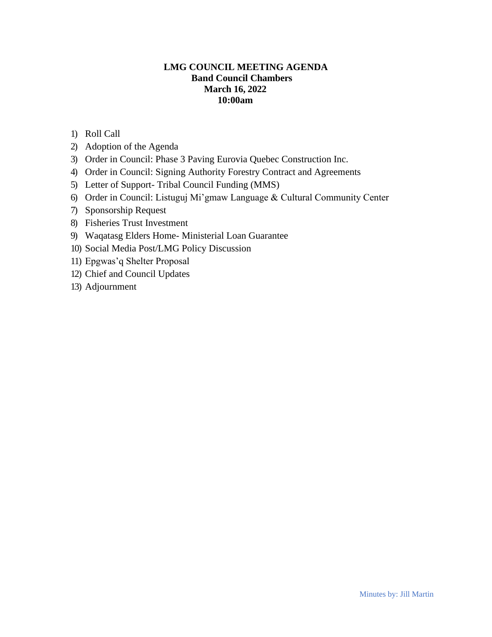# **LMG COUNCIL MEETING AGENDA Band Council Chambers March 16, 2022 10:00am**

- 1) Roll Call
- 2) Adoption of the Agenda
- 3) Order in Council: Phase 3 Paving Eurovia Quebec Construction Inc.
- 4) Order in Council: Signing Authority Forestry Contract and Agreements
- 5) Letter of Support- Tribal Council Funding (MMS)
- 6) Order in Council: Listuguj Mi'gmaw Language & Cultural Community Center
- 7) Sponsorship Request
- 8) Fisheries Trust Investment
- 9) Waqatasg Elders Home- Ministerial Loan Guarantee
- 10) Social Media Post/LMG Policy Discussion
- 11) Epgwas'q Shelter Proposal
- 12) Chief and Council Updates
- 13) Adjournment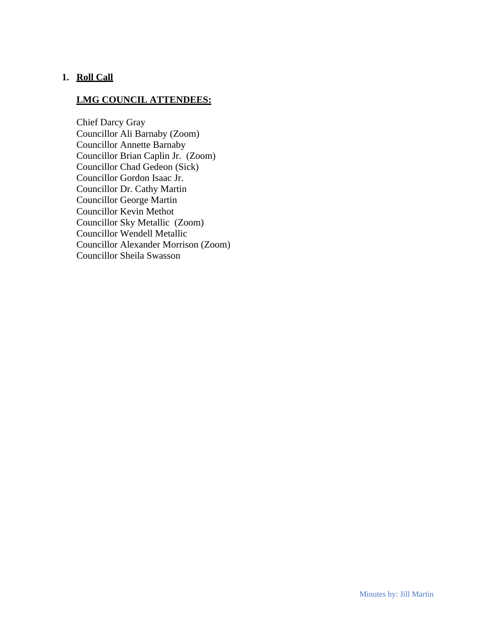# **1. Roll Call**

## **LMG COUNCIL ATTENDEES:**

Chief Darcy Gray Councillor Ali Barnaby (Zoom) Councillor Annette Barnaby Councillor Brian Caplin Jr. (Zoom) Councillor Chad Gedeon (Sick) Councillor Gordon Isaac Jr. Councillor Dr. Cathy Martin Councillor George Martin Councillor Kevin Methot Councillor Sky Metallic (Zoom) Councillor Wendell Metallic Councillor Alexander Morrison (Zoom) Councillor Sheila Swasson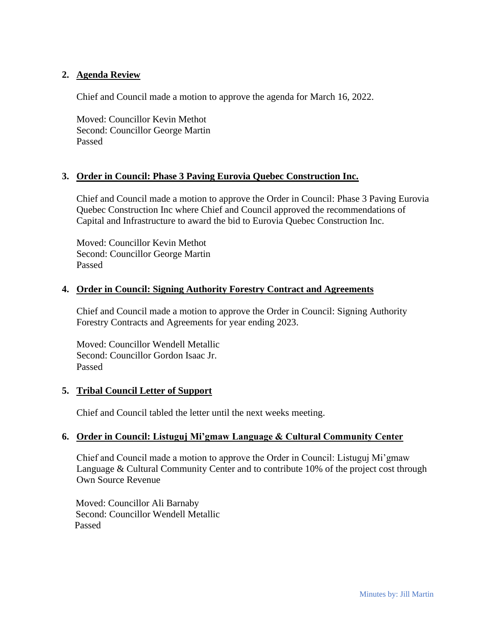## **2. Agenda Review**

Chief and Council made a motion to approve the agenda for March 16, 2022.

Moved: Councillor Kevin Methot Second: Councillor George Martin Passed

### **3. Order in Council: Phase 3 Paving Eurovia Quebec Construction Inc.**

Chief and Council made a motion to approve the Order in Council: Phase 3 Paving Eurovia Quebec Construction Inc where Chief and Council approved the recommendations of Capital and Infrastructure to award the bid to Eurovia Quebec Construction Inc.

Moved: Councillor Kevin Methot Second: Councillor George Martin Passed

### **4. Order in Council: Signing Authority Forestry Contract and Agreements**

Chief and Council made a motion to approve the Order in Council: Signing Authority Forestry Contracts and Agreements for year ending 2023.

Moved: Councillor Wendell Metallic Second: Councillor Gordon Isaac Jr. Passed

### **5. Tribal Council Letter of Support**

Chief and Council tabled the letter until the next weeks meeting.

### **6. Order in Council: Listuguj Mi'gmaw Language & Cultural Community Center**

Chief and Council made a motion to approve the Order in Council: Listuguj Mi'gmaw Language & Cultural Community Center and to contribute 10% of the project cost through Own Source Revenue

 Moved: Councillor Ali Barnaby Second: Councillor Wendell Metallic Passed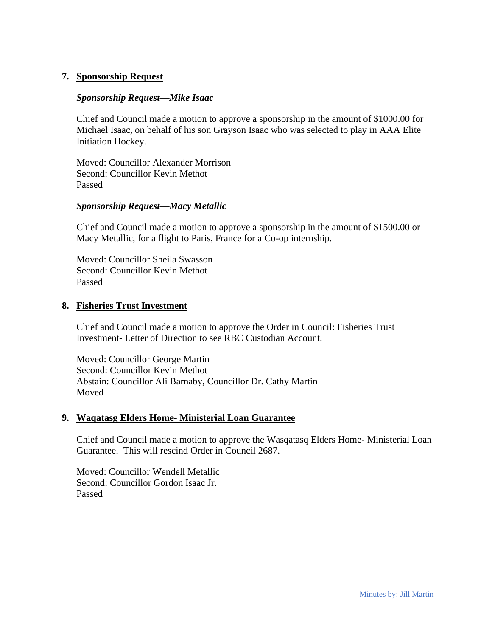### **7. Sponsorship Request**

#### *Sponsorship Request—Mike Isaac*

Chief and Council made a motion to approve a sponsorship in the amount of \$1000.00 for Michael Isaac, on behalf of his son Grayson Isaac who was selected to play in AAA Elite Initiation Hockey.

Moved: Councillor Alexander Morrison Second: Councillor Kevin Methot Passed

#### *Sponsorship Request—Macy Metallic*

Chief and Council made a motion to approve a sponsorship in the amount of \$1500.00 or Macy Metallic, for a flight to Paris, France for a Co-op internship.

Moved: Councillor Sheila Swasson Second: Councillor Kevin Methot Passed

#### **8. Fisheries Trust Investment**

Chief and Council made a motion to approve the Order in Council: Fisheries Trust Investment- Letter of Direction to see RBC Custodian Account.

Moved: Councillor George Martin Second: Councillor Kevin Methot Abstain: Councillor Ali Barnaby, Councillor Dr. Cathy Martin Moved

#### **9. Waqatasg Elders Home- Ministerial Loan Guarantee**

Chief and Council made a motion to approve the Wasqatasq Elders Home- Ministerial Loan Guarantee. This will rescind Order in Council 2687.

Moved: Councillor Wendell Metallic Second: Councillor Gordon Isaac Jr. Passed